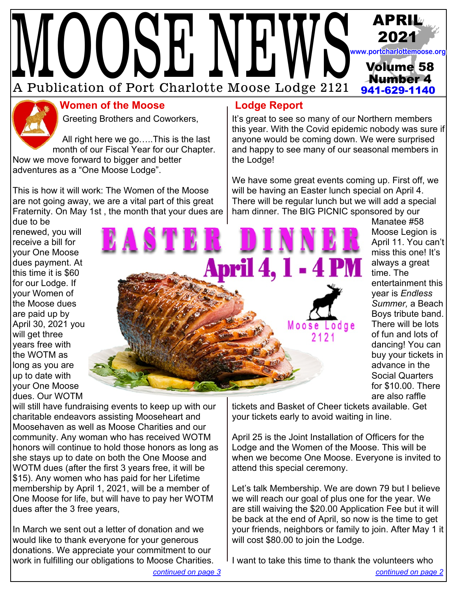# WUUDELVELWD A Publication of Port Charlotte Moose Lodge 2121 **APRIL 2021 Volume 58 Number 4 941-629-1140 [www.portcharlottemoose.org](http://www.portcharlottemoose.org)**



# **Women of the Moose Lodge Report**

Greeting Brothers and Coworkers,

 All right here we go…..This is the last month of our Fiscal Year for our Chapter. Now we move forward to bigger and better adventures as a "One Moose Lodge".

This is how it will work: The Women of the Moose are not going away, we are a vital part of this great Fraternity. On May 1st , the month that your dues are

It's great to see so many of our Northern members this year. With the Covid epidemic nobody was sure if anyone would be coming down. We were surprised and happy to see many of our seasonal members in the Lodge!

We have some great events coming up. First off, we will be having an Easter lunch special on April 4. There will be regular lunch but we will add a special ham dinner. The BIG PICNIC sponsored by our

due to be renewed, you will receive a bill for your One Moose dues payment. At this time it is \$60 for our Lodge. If your Women of the Moose dues are paid up by April 30, 2021 you will get three years free with the WOTM as long as you are up to date with your One Moose dues. Our WOTM



Manatee #58 Moose Legion is April 11. You can't miss this one! It's always a great time. The entertainment this year is *Endless Summer,* a Beach Boys tribute band. There will be lots of fun and lots of dancing! You can buy your tickets in advance in the Social Quarters for \$10.00. There are also raffle

tickets and Basket of Cheer tickets available. Get your tickets early to avoid waiting in line.

April 25 is the Joint Installation of Officers for the Lodge and the Women of the Moose. This will be when we become One Moose. Everyone is invited to attend this special ceremony.

Let's talk Membership. We are down 79 but I believe we will reach our goal of plus one for the year. We are still waiving the \$20.00 Application Fee but it will be back at the end of April, so now is the time to get your friends, neighbors or family to join. After May 1 it will cost \$80.00 to join the Lodge.

I want to take this time to thank the volunteers who

will still have fundraising events to keep up with our charitable endeavors assisting Mooseheart and Moosehaven as well as Moose Charities and our community. Any woman who has received WOTM honors will continue to hold those honors as long as she stays up to date on both the One Moose and WOTM dues (after the first 3 years free, it will be \$15). Any women who has paid for her Lifetime membership by April 1, 2021, will be a member of One Moose for life, but will have to pay her WOTM dues after the 3 free years,

In March we sent out a letter of donation and we would like to thank everyone for your generous donations. We appreciate your commitment to our work in fulfilling our obligations to Moose Charities.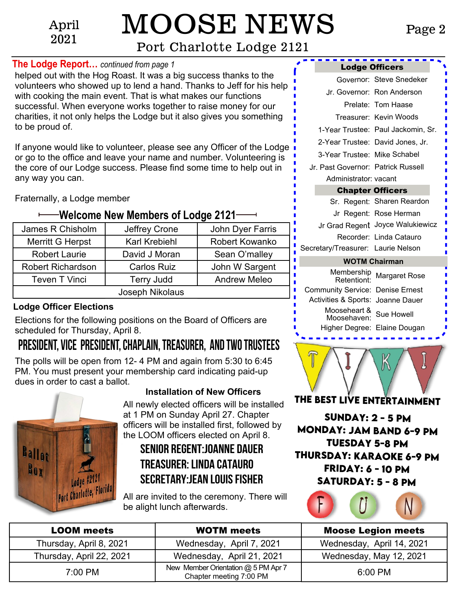April 2021

# MOOSE NEWS

# [Port Charlotte Lodge 2121](http://www.portcharlottemoose.org)

### <span id="page-1-0"></span>**The Lodge Report…** *continued from page 1*

helped out with the Hog Roast. It was a big success thanks to the volunteers who showed up to lend a hand. Thanks to Jeff for his help with cooking the main event. That is what makes our functions successful. When everyone works together to raise money for our charities, it not only helps the Lodge but it also gives you something to be proud of.

If anyone would like to volunteer, please see any Officer of the Lodge or go to the office and leave your name and number. Volunteering is the core of our Lodge success. Please find some time to help out in any way you can.

Fraternally, a Lodge member

# **Welcome New Members of Lodge 2121–**

| James R Chisholm         | Jeffrey Crone        | John Dyer Farris    |  |  |
|--------------------------|----------------------|---------------------|--|--|
| Merritt G Herpst         | <b>Karl Krebiehl</b> | Robert Kowanko      |  |  |
| <b>Robert Laurie</b>     | David J Moran        | Sean O'malley       |  |  |
| <b>Robert Richardson</b> | <b>Carlos Ruiz</b>   | John W Sargent      |  |  |
| <b>Teven T Vinci</b>     | <b>Terry Judd</b>    | <b>Andrew Meleo</b> |  |  |
| Joseph Nikolaus          |                      |                     |  |  |

## **Lodge Officer Elections**

Elections for the following positions on the Board of Officers are scheduled for Thursday, April 8.

# **President, Vice President, Chaplain, Treasurer, and two Trustees**

The polls will be open from 12- 4 PM and again from 5:30 to 6:45 PM. You must present your membership card indicating paid-up dues in order to cast a ballot.



# **Installation of New Officers**

All newly elected officers will be installed at 1 PM on Sunday April 27. Chapter officers will be installed first, followed by the LOOM officers elected on April 8.

# **Senior Regent:Joanne Dauer Treasurer: Linda Catauro Secretary:Jean Louis Fisher**

All are invited to the ceremony. There will be alight lunch afterwards.

|                                    | <b>Lodge Officers</b>              |
|------------------------------------|------------------------------------|
|                                    | Governor: Steve Snedeker           |
|                                    | Jr. Governor: Ron Anderson         |
|                                    | Prelate: Tom Haase                 |
|                                    | Treasurer: Kevin Woods             |
|                                    | 1-Year Trustee: Paul Jackomin, Sr. |
|                                    | 2-Year Trustee: David Jones, Jr.   |
| 3-Year Trustee: Mike Schabel       |                                    |
| Jr. Past Governor: Patrick Russell |                                    |
| Administrator: vacant              |                                    |
|                                    | <b>Chapter Officers</b>            |
|                                    | Sr. Regent: Sharen Reardon         |
|                                    | Jr Regent: Rose Herman             |
|                                    | Jr Grad Regent Joyce Walukiewicz   |
|                                    | Recorder: Linda Catauro            |
| Secretary/Treasurer: Laurie Nelson |                                    |

### **WOTM Chairman**

| Membership<br>Retentiont:               | <b>Margaret Rose</b> |
|-----------------------------------------|----------------------|
| <b>Community Service: Denise Ernest</b> |                      |
| Activities & Sports: Joanne Dauer       |                      |
| Mooseheart & Sue Howell<br>Moosehaven:  |                      |
| Higher Degree: Elaine Dougan            |                      |



**Sunday: 2 - 5 PM Monday: Jam Band 6-9 PM Tuesday 5-8 PM Thursday: Karaoke 6-9 PM Friday: 6 - 10 PM Saturday: 5 - 8 PM**



| <b>LOOM</b> meets        | <b>WOTM</b> meets                                              | <b>Moose Legion meets</b> |
|--------------------------|----------------------------------------------------------------|---------------------------|
| Thursday, April 8, 2021  | Wednesday, April 7, 2021                                       | Wednesday, April 14, 2021 |
| Thursday, April 22, 2021 | Wednesday, April 21, 2021                                      | Wednesday, May 12, 2021   |
| 7:00 PM                  | New Member Orientation @ 5 PM Apr 7<br>Chapter meeting 7:00 PM | 6:00 PM                   |